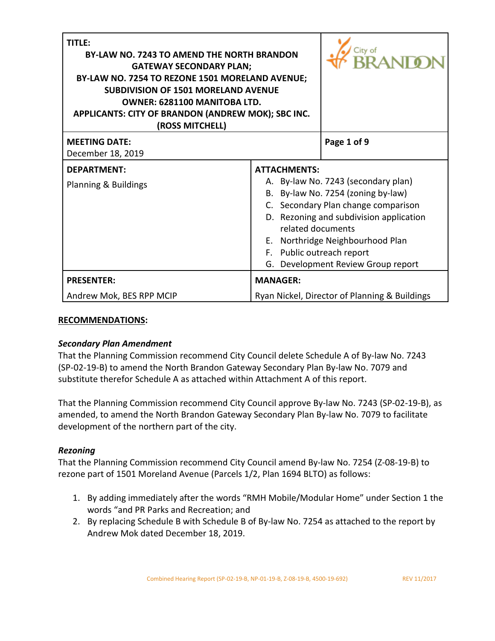| <b>TITLE:</b><br><b>BY-LAW NO. 7243 TO AMEND THE NORTH BRANDON</b><br><b>GATEWAY SECONDARY PLAN;</b><br>BY-LAW NO. 7254 TO REZONE 1501 MORELAND AVENUE;<br><b>SUBDIVISION OF 1501 MORELAND AVENUE</b><br><b>OWNER: 6281100 MANITOBA LTD.</b><br>APPLICANTS: CITY OF BRANDON (ANDREW MOK); SBC INC.<br>(ROSS MITCHELL)<br><b>MEETING DATE:</b> |                                                                             | Page 1 of 9                                                                                                                                                                                                                        |
|-----------------------------------------------------------------------------------------------------------------------------------------------------------------------------------------------------------------------------------------------------------------------------------------------------------------------------------------------|-----------------------------------------------------------------------------|------------------------------------------------------------------------------------------------------------------------------------------------------------------------------------------------------------------------------------|
| December 18, 2019                                                                                                                                                                                                                                                                                                                             |                                                                             |                                                                                                                                                                                                                                    |
| <b>DEPARTMENT:</b><br>Planning & Buildings                                                                                                                                                                                                                                                                                                    | <b>ATTACHMENTS:</b><br>related documents<br>Е.<br>F. Public outreach report | A. By-law No. 7243 (secondary plan)<br>B. By-law No. 7254 (zoning by-law)<br>C. Secondary Plan change comparison<br>D. Rezoning and subdivision application<br>Northridge Neighbourhood Plan<br>G. Development Review Group report |
| <b>PRESENTER:</b>                                                                                                                                                                                                                                                                                                                             | <b>MANAGER:</b>                                                             |                                                                                                                                                                                                                                    |
| Andrew Mok, BES RPP MCIP                                                                                                                                                                                                                                                                                                                      | Ryan Nickel, Director of Planning & Buildings                               |                                                                                                                                                                                                                                    |

### **RECOMMENDATIONS:**

### *Secondary Plan Amendment*

That the Planning Commission recommend City Council delete Schedule A of By-law No. 7243 (SP-02-19-B) to amend the North Brandon Gateway Secondary Plan By-law No. 7079 and substitute therefor Schedule A as attached within Attachment A of this report.

That the Planning Commission recommend City Council approve By-law No. 7243 (SP-02-19-B), as amended, to amend the North Brandon Gateway Secondary Plan By-law No. 7079 to facilitate development of the northern part of the city.

### *Rezoning*

That the Planning Commission recommend City Council amend By-law No. 7254 (Z-08-19-B) to rezone part of 1501 Moreland Avenue (Parcels 1/2, Plan 1694 BLTO) as follows:

- 1. By adding immediately after the words "RMH Mobile/Modular Home" under Section 1 the words "and PR Parks and Recreation; and
- 2. By replacing Schedule B with Schedule B of By-law No. 7254 as attached to the report by Andrew Mok dated December 18, 2019.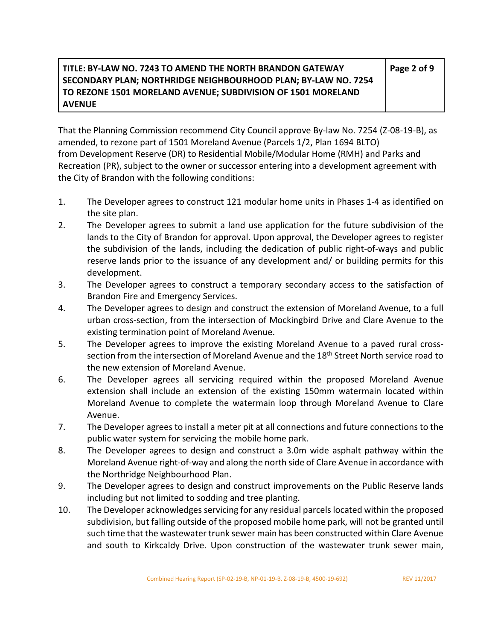That the Planning Commission recommend City Council approve By-law No. 7254 (Z-08-19-B), as amended, to rezone part of 1501 Moreland Avenue (Parcels 1/2, Plan 1694 BLTO) from Development Reserve (DR) to Residential Mobile/Modular Home (RMH) and Parks and Recreation (PR), subject to the owner or successor entering into a development agreement with the City of Brandon with the following conditions:

- 1. The Developer agrees to construct 121 modular home units in Phases 1-4 as identified on the site plan.
- 2. The Developer agrees to submit a land use application for the future subdivision of the lands to the City of Brandon for approval. Upon approval, the Developer agrees to register the subdivision of the lands, including the dedication of public right-of-ways and public reserve lands prior to the issuance of any development and/ or building permits for this development.
- 3. The Developer agrees to construct a temporary secondary access to the satisfaction of Brandon Fire and Emergency Services.
- 4. The Developer agrees to design and construct the extension of Moreland Avenue, to a full urban cross-section, from the intersection of Mockingbird Drive and Clare Avenue to the existing termination point of Moreland Avenue.
- 5. The Developer agrees to improve the existing Moreland Avenue to a paved rural crosssection from the intersection of Moreland Avenue and the 18<sup>th</sup> Street North service road to the new extension of Moreland Avenue.
- 6. The Developer agrees all servicing required within the proposed Moreland Avenue extension shall include an extension of the existing 150mm watermain located within Moreland Avenue to complete the watermain loop through Moreland Avenue to Clare Avenue.
- 7. The Developer agrees to install a meter pit at all connections and future connections to the public water system for servicing the mobile home park.
- 8. The Developer agrees to design and construct a 3.0m wide asphalt pathway within the Moreland Avenue right-of-way and along the north side of Clare Avenue in accordance with the Northridge Neighbourhood Plan.
- 9. The Developer agrees to design and construct improvements on the Public Reserve lands including but not limited to sodding and tree planting.
- 10. The Developer acknowledges servicing for any residual parcels located within the proposed subdivision, but falling outside of the proposed mobile home park, will not be granted until such time that the wastewater trunk sewer main has been constructed within Clare Avenue and south to Kirkcaldy Drive. Upon construction of the wastewater trunk sewer main,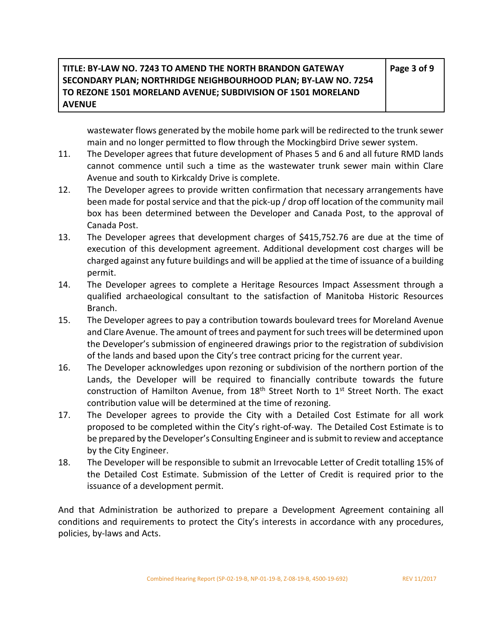wastewater flows generated by the mobile home park will be redirected to the trunk sewer main and no longer permitted to flow through the Mockingbird Drive sewer system.

- 11. The Developer agrees that future development of Phases 5 and 6 and all future RMD lands cannot commence until such a time as the wastewater trunk sewer main within Clare Avenue and south to Kirkcaldy Drive is complete.
- 12. The Developer agrees to provide written confirmation that necessary arrangements have been made for postal service and that the pick-up / drop off location of the community mail box has been determined between the Developer and Canada Post, to the approval of Canada Post.
- 13. The Developer agrees that development charges of \$415,752.76 are due at the time of execution of this development agreement. Additional development cost charges will be charged against any future buildings and will be applied at the time of issuance of a building permit.
- 14. The Developer agrees to complete a Heritage Resources Impact Assessment through a qualified archaeological consultant to the satisfaction of Manitoba Historic Resources Branch.
- 15. The Developer agrees to pay a contribution towards boulevard trees for Moreland Avenue and Clare Avenue. The amount of trees and payment for such trees will be determined upon the Developer's submission of engineered drawings prior to the registration of subdivision of the lands and based upon the City's tree contract pricing for the current year.
- 16. The Developer acknowledges upon rezoning or subdivision of the northern portion of the Lands, the Developer will be required to financially contribute towards the future construction of Hamilton Avenue, from  $18<sup>th</sup>$  Street North to  $1<sup>st</sup>$  Street North. The exact contribution value will be determined at the time of rezoning.
- 17. The Developer agrees to provide the City with a Detailed Cost Estimate for all work proposed to be completed within the City's right-of-way. The Detailed Cost Estimate is to be prepared by the Developer's Consulting Engineer and is submit to review and acceptance by the City Engineer.
- 18. The Developer will be responsible to submit an Irrevocable Letter of Credit totalling 15% of the Detailed Cost Estimate. Submission of the Letter of Credit is required prior to the issuance of a development permit.

And that Administration be authorized to prepare a Development Agreement containing all conditions and requirements to protect the City's interests in accordance with any procedures, policies, by-laws and Acts.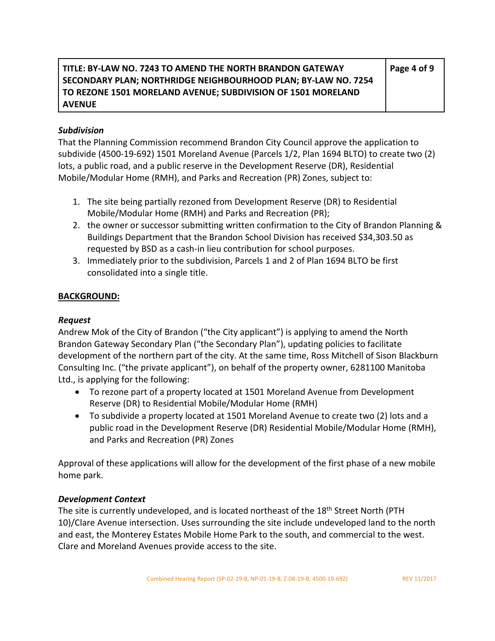### *Subdivision*

That the Planning Commission recommend Brandon City Council approve the application to subdivide (4500-19-692) 1501 Moreland Avenue (Parcels 1/2, Plan 1694 BLTO) to create two (2) lots, a public road, and a public reserve in the Development Reserve (DR), Residential Mobile/Modular Home (RMH), and Parks and Recreation (PR) Zones, subject to:

- 1. The site being partially rezoned from Development Reserve (DR) to Residential Mobile/Modular Home (RMH) and Parks and Recreation (PR);
- 2. the owner or successor submitting written confirmation to the City of Brandon Planning & Buildings Department that the Brandon School Division has received \$34,303.50 as requested by BSD as a cash-in lieu contribution for school purposes.
- 3. Immediately prior to the subdivision, Parcels 1 and 2 of Plan 1694 BLTO be first consolidated into a single title.

### **BACKGROUND:**

### *Request*

Andrew Mok of the City of Brandon ("the City applicant") is applying to amend the North Brandon Gateway Secondary Plan ("the Secondary Plan"), updating policies to facilitate development of the northern part of the city. At the same time, Ross Mitchell of Sison Blackburn Consulting Inc. ("the private applicant"), on behalf of the property owner, 6281100 Manitoba Ltd., is applying for the following:

- To rezone part of a property located at 1501 Moreland Avenue from Development Reserve (DR) to Residential Mobile/Modular Home (RMH)
- To subdivide a property located at 1501 Moreland Avenue to create two (2) lots and a public road in the Development Reserve (DR) Residential Mobile/Modular Home (RMH), and Parks and Recreation (PR) Zones

Approval of these applications will allow for the development of the first phase of a new mobile home park.

### *Development Context*

The site is currently undeveloped, and is located northeast of the 18<sup>th</sup> Street North (PTH 10)/Clare Avenue intersection. Uses surrounding the site include undeveloped land to the north and east, the Monterey Estates Mobile Home Park to the south, and commercial to the west. Clare and Moreland Avenues provide access to the site.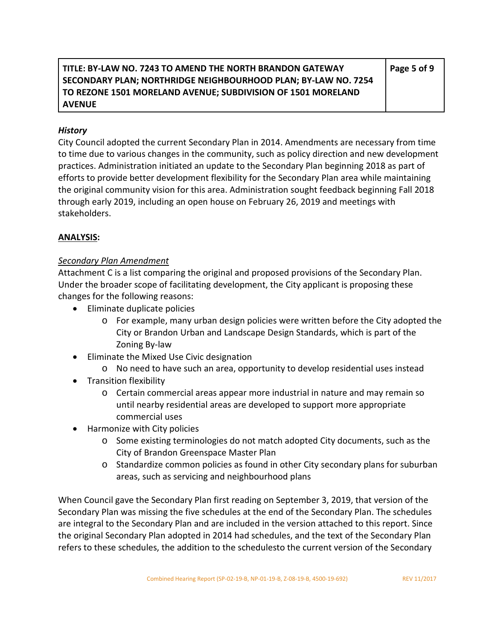### *History*

City Council adopted the current Secondary Plan in 2014. Amendments are necessary from time to time due to various changes in the community, such as policy direction and new development practices. Administration initiated an update to the Secondary Plan beginning 2018 as part of efforts to provide better development flexibility for the Secondary Plan area while maintaining the original community vision for this area. Administration sought feedback beginning Fall 2018 through early 2019, including an open house on February 26, 2019 and meetings with stakeholders.

## **ANALYSIS:**

## *Secondary Plan Amendment*

Attachment C is a list comparing the original and proposed provisions of the Secondary Plan. Under the broader scope of facilitating development, the City applicant is proposing these changes for the following reasons:

- Eliminate duplicate policies
	- o For example, many urban design policies were written before the City adopted the City or Brandon Urban and Landscape Design Standards, which is part of the Zoning By-law
- Eliminate the Mixed Use Civic designation
	- o No need to have such an area, opportunity to develop residential uses instead
- Transition flexibility
	- o Certain commercial areas appear more industrial in nature and may remain so until nearby residential areas are developed to support more appropriate commercial uses
- Harmonize with City policies
	- o Some existing terminologies do not match adopted City documents, such as the City of Brandon Greenspace Master Plan
	- o Standardize common policies as found in other City secondary plans for suburban areas, such as servicing and neighbourhood plans

When Council gave the Secondary Plan first reading on September 3, 2019, that version of the Secondary Plan was missing the five schedules at the end of the Secondary Plan. The schedules are integral to the Secondary Plan and are included in the version attached to this report. Since the original Secondary Plan adopted in 2014 had schedules, and the text of the Secondary Plan refers to these schedules, the addition to the schedulesto the current version of the Secondary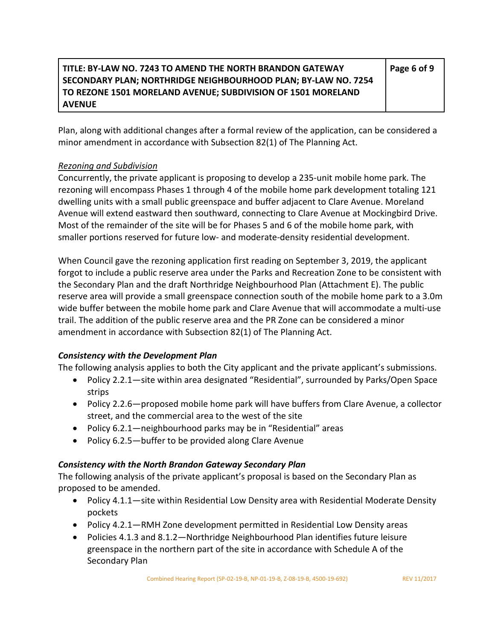**Page 6 of 9**

Plan, along with additional changes after a formal review of the application, can be considered a minor amendment in accordance with Subsection 82(1) of The Planning Act.

## *Rezoning and Subdivision*

Concurrently, the private applicant is proposing to develop a 235-unit mobile home park. The rezoning will encompass Phases 1 through 4 of the mobile home park development totaling 121 dwelling units with a small public greenspace and buffer adjacent to Clare Avenue. Moreland Avenue will extend eastward then southward, connecting to Clare Avenue at Mockingbird Drive. Most of the remainder of the site will be for Phases 5 and 6 of the mobile home park, with smaller portions reserved for future low- and moderate-density residential development.

When Council gave the rezoning application first reading on September 3, 2019, the applicant forgot to include a public reserve area under the Parks and Recreation Zone to be consistent with the Secondary Plan and the draft Northridge Neighbourhood Plan (Attachment E). The public reserve area will provide a small greenspace connection south of the mobile home park to a 3.0m wide buffer between the mobile home park and Clare Avenue that will accommodate a multi-use trail. The addition of the public reserve area and the PR Zone can be considered a minor amendment in accordance with Subsection 82(1) of The Planning Act.

## *Consistency with the Development Plan*

The following analysis applies to both the City applicant and the private applicant's submissions.

- Policy 2.2.1—site within area designated "Residential", surrounded by Parks/Open Space strips
- Policy 2.2.6—proposed mobile home park will have buffers from Clare Avenue, a collector street, and the commercial area to the west of the site
- Policy 6.2.1—neighbourhood parks may be in "Residential" areas
- Policy 6.2.5—buffer to be provided along Clare Avenue

## *Consistency with the North Brandon Gateway Secondary Plan*

The following analysis of the private applicant's proposal is based on the Secondary Plan as proposed to be amended.

- Policy 4.1.1—site within Residential Low Density area with Residential Moderate Density pockets
- Policy 4.2.1—RMH Zone development permitted in Residential Low Density areas
- Policies 4.1.3 and 8.1.2—Northridge Neighbourhood Plan identifies future leisure greenspace in the northern part of the site in accordance with Schedule A of the Secondary Plan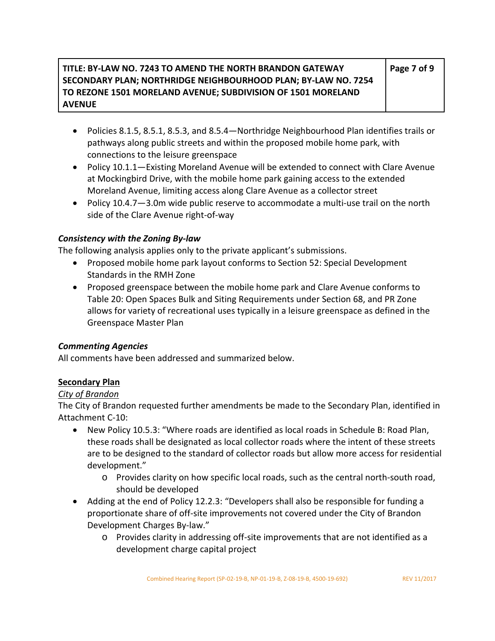- Policies 8.1.5, 8.5.1, 8.5.3, and 8.5.4—Northridge Neighbourhood Plan identifies trails or pathways along public streets and within the proposed mobile home park, with connections to the leisure greenspace
- Policy 10.1.1—Existing Moreland Avenue will be extended to connect with Clare Avenue at Mockingbird Drive, with the mobile home park gaining access to the extended Moreland Avenue, limiting access along Clare Avenue as a collector street
- Policy 10.4.7—3.0m wide public reserve to accommodate a multi-use trail on the north side of the Clare Avenue right-of-way

## *Consistency with the Zoning By-law*

The following analysis applies only to the private applicant's submissions.

- Proposed mobile home park layout conforms to Section 52: Special Development Standards in the RMH Zone
- Proposed greenspace between the mobile home park and Clare Avenue conforms to Table 20: Open Spaces Bulk and Siting Requirements under Section 68, and PR Zone allows for variety of recreational uses typically in a leisure greenspace as defined in the Greenspace Master Plan

## *Commenting Agencies*

All comments have been addressed and summarized below.

## **Secondary Plan**

## *City of Brandon*

The City of Brandon requested further amendments be made to the Secondary Plan, identified in Attachment C-10:

- New Policy 10.5.3: "Where roads are identified as local roads in Schedule B: Road Plan, these roads shall be designated as local collector roads where the intent of these streets are to be designed to the standard of collector roads but allow more access for residential development."
	- o Provides clarity on how specific local roads, such as the central north-south road, should be developed
- Adding at the end of Policy 12.2.3: "Developers shall also be responsible for funding a proportionate share of off-site improvements not covered under the City of Brandon Development Charges By-law."
	- o Provides clarity in addressing off-site improvements that are not identified as a development charge capital project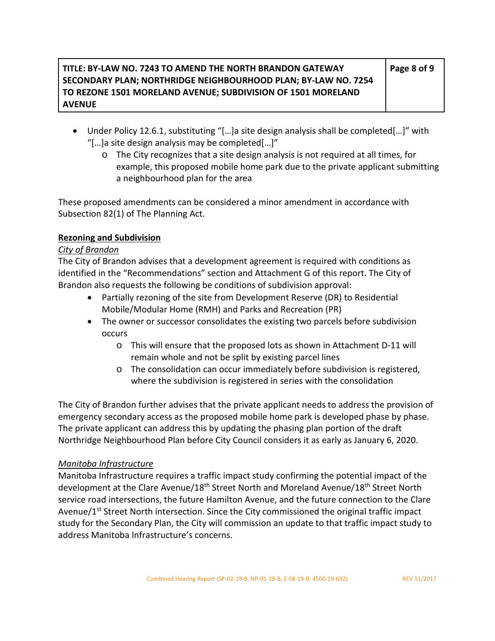- Under Policy 12.6.1, substituting "[…]a site design analysis shall be completed[…]" with "[…]a site design analysis may be completed[…]"
	- o The City recognizes that a site design analysis is not required at all times, for example, this proposed mobile home park due to the private applicant submitting a neighbourhood plan for the area

These proposed amendments can be considered a minor amendment in accordance with Subsection 82(1) of The Planning Act.

## **Rezoning and Subdivision**

## *City of Brandon*

The City of Brandon advises that a development agreement is required with conditions as identified in the "Recommendations" section and Attachment G of this report. The City of Brandon also requests the following be conditions of subdivision approval:

- Partially rezoning of the site from Development Reserve (DR) to Residential Mobile/Modular Home (RMH) and Parks and Recreation (PR)
- The owner or successor consolidates the existing two parcels before subdivision occurs
	- o This will ensure that the proposed lots as shown in Attachment D-11 will remain whole and not be split by existing parcel lines
	- o The consolidation can occur immediately before subdivision is registered, where the subdivision is registered in series with the consolidation

The City of Brandon further advises that the private applicant needs to address the provision of emergency secondary access as the proposed mobile home park is developed phase by phase. The private applicant can address this by updating the phasing plan portion of the draft Northridge Neighbourhood Plan before City Council considers it as early as January 6, 2020.

### *Manitoba Infrastructure*

Manitoba Infrastructure requires a traffic impact study confirming the potential impact of the development at the Clare Avenue/18<sup>th</sup> Street North and Moreland Avenue/18<sup>th</sup> Street North service road intersections, the future Hamilton Avenue, and the future connection to the Clare Avenue/1<sup>st</sup> Street North intersection. Since the City commissioned the original traffic impact study for the Secondary Plan, the City will commission an update to that traffic impact study to address Manitoba Infrastructure's concerns.